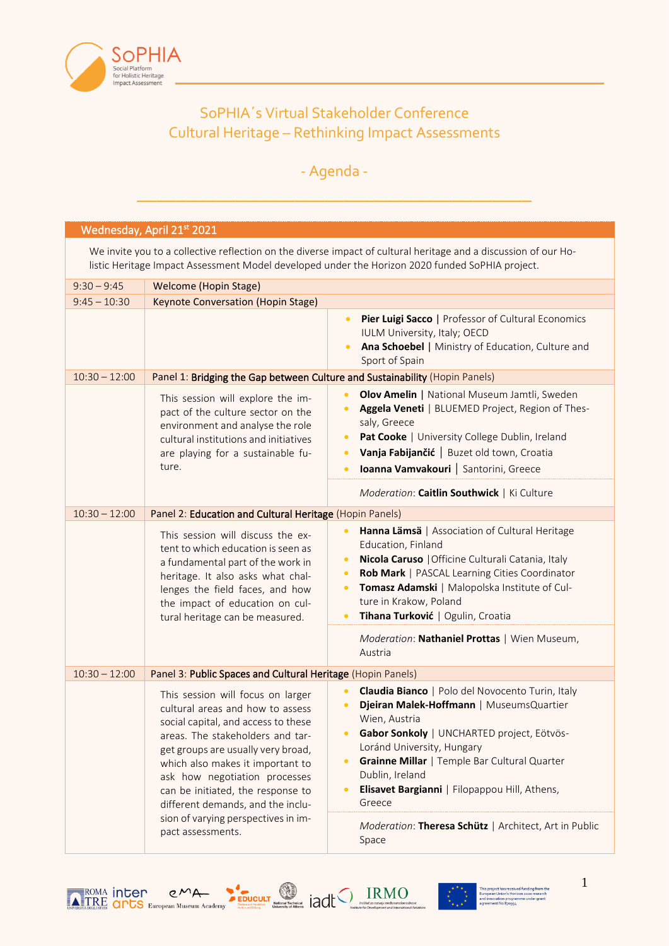

## SoPHIA´s Virtual Stakeholder Conference Cultural Heritage – Rethinking Impact Assessments

## - Agenda -

\_\_\_\_\_\_\_\_\_\_\_\_\_\_\_\_\_\_\_\_\_\_\_\_\_\_\_\_\_\_\_\_\_\_\_\_\_\_\_\_

## Wednesday, April 21<sup>st</sup> 2021

We invite you to a collective reflection on the diverse impact of cultural heritage and a discussion of our Holistic Heritage Impact Assessment Model developed under the Horizon 2020 funded SoPHIA project.

| $9:30 - 9:45$   | <b>Welcome (Hopin Stage)</b>                                                                                                                                                                                                                                                                                                          |                                                                                                                                                                                                                                                                                                                                                                                                           |
|-----------------|---------------------------------------------------------------------------------------------------------------------------------------------------------------------------------------------------------------------------------------------------------------------------------------------------------------------------------------|-----------------------------------------------------------------------------------------------------------------------------------------------------------------------------------------------------------------------------------------------------------------------------------------------------------------------------------------------------------------------------------------------------------|
| $9:45 - 10:30$  | Keynote Conversation (Hopin Stage)                                                                                                                                                                                                                                                                                                    |                                                                                                                                                                                                                                                                                                                                                                                                           |
|                 |                                                                                                                                                                                                                                                                                                                                       | Pier Luigi Sacco   Professor of Cultural Economics<br>$\bullet$<br>IULM University, Italy; OECD<br>Ana Schoebel   Ministry of Education, Culture and<br>$\bullet$<br>Sport of Spain                                                                                                                                                                                                                       |
| $10:30 - 12:00$ | Panel 1: Bridging the Gap between Culture and Sustainability (Hopin Panels)                                                                                                                                                                                                                                                           |                                                                                                                                                                                                                                                                                                                                                                                                           |
|                 | This session will explore the im-<br>pact of the culture sector on the<br>environment and analyse the role<br>cultural institutions and initiatives<br>are playing for a sustainable fu-<br>ture.                                                                                                                                     | Olov Amelin   National Museum Jamtli, Sweden<br>$\bullet$<br>Aggela Veneti   BLUEMED Project, Region of Thes-<br>$\bullet$<br>saly, Greece<br>Pat Cooke   University College Dublin, Ireland<br>$\bullet$<br>Vanja Fabijančić   Buzet old town, Croatia<br>$\bullet$<br>Ioanna Vamvakouri   Santorini, Greece<br>$\bullet$                                                                                |
|                 |                                                                                                                                                                                                                                                                                                                                       | Moderation: Caitlin Southwick   Ki Culture                                                                                                                                                                                                                                                                                                                                                                |
| $10:30 - 12:00$ | Panel 2: Education and Cultural Heritage (Hopin Panels)                                                                                                                                                                                                                                                                               |                                                                                                                                                                                                                                                                                                                                                                                                           |
|                 | This session will discuss the ex-<br>tent to which education is seen as<br>a fundamental part of the work in<br>heritage. It also asks what chal-<br>lenges the field faces, and how<br>the impact of education on cul-<br>tural heritage can be measured.                                                                            | Hanna Lämsä   Association of Cultural Heritage<br>Education, Finland<br>Nicola Caruso   Officine Culturali Catania, Italy<br>$\bullet$<br>Rob Mark   PASCAL Learning Cities Coordinator<br>$\bullet$<br>Tomasz Adamski   Malopolska Institute of Cul-<br>$\bullet$<br>ture in Krakow, Poland<br>Tihana Turković   Ogulin, Croatia<br>$\bullet$<br>Moderation: Nathaniel Prottas   Wien Museum,<br>Austria |
| $10:30 - 12:00$ | Panel 3: Public Spaces and Cultural Heritage (Hopin Panels)                                                                                                                                                                                                                                                                           |                                                                                                                                                                                                                                                                                                                                                                                                           |
|                 | This session will focus on larger<br>cultural areas and how to assess<br>social capital, and access to these<br>areas. The stakeholders and tar-<br>get groups are usually very broad,<br>which also makes it important to<br>ask how negotiation processes<br>can be initiated, the response to<br>different demands, and the inclu- | Claudia Bianco   Polo del Novocento Turin, Italy<br>$\bullet$<br>Djeiran Malek-Hoffmann   MuseumsQuartier<br>$\bullet$<br>Wien, Austria<br>Gabor Sonkoly   UNCHARTED project, Eötvös-<br>$\bullet$<br>Loránd University, Hungary<br>Grainne Millar   Temple Bar Cultural Quarter<br>$\bullet$<br>Dublin, Ireland<br>Elisavet Bargianni   Filopappou Hill, Athens,<br>$\bullet$<br>Greece                  |
|                 | sion of varying perspectives in im-<br>pact assessments.                                                                                                                                                                                                                                                                              | Moderation: Theresa Schütz   Architect, Art in Public<br>Space                                                                                                                                                                                                                                                                                                                                            |



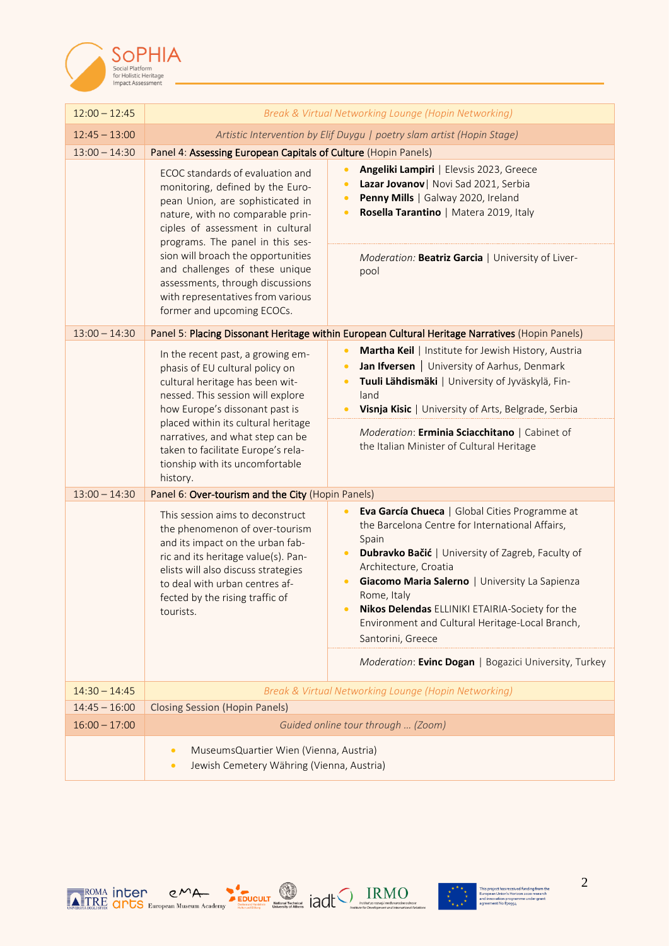

| $12:00 - 12:45$ | Break & Virtual Networking Lounge (Hopin Networking)                                                                                                                                                                                                                                                                                                                                                |                                                                                                                                                                                                                                                                                                                                                                                                                |  |
|-----------------|-----------------------------------------------------------------------------------------------------------------------------------------------------------------------------------------------------------------------------------------------------------------------------------------------------------------------------------------------------------------------------------------------------|----------------------------------------------------------------------------------------------------------------------------------------------------------------------------------------------------------------------------------------------------------------------------------------------------------------------------------------------------------------------------------------------------------------|--|
| $12:45 - 13:00$ | Artistic Intervention by Elif Duygu   poetry slam artist (Hopin Stage)                                                                                                                                                                                                                                                                                                                              |                                                                                                                                                                                                                                                                                                                                                                                                                |  |
| $13:00 - 14:30$ | Panel 4: Assessing European Capitals of Culture (Hopin Panels)                                                                                                                                                                                                                                                                                                                                      |                                                                                                                                                                                                                                                                                                                                                                                                                |  |
|                 | ECOC standards of evaluation and<br>monitoring, defined by the Euro-<br>pean Union, are sophisticated in<br>nature, with no comparable prin-<br>ciples of assessment in cultural<br>programs. The panel in this ses-<br>sion will broach the opportunities<br>and challenges of these unique<br>assessments, through discussions<br>with representatives from various<br>former and upcoming ECOCs. | Angeliki Lampiri   Elevsis 2023, Greece<br>$\bullet$<br>Lazar Jovanov   Novi Sad 2021, Serbia<br>$\bullet$<br>Penny Mills   Galway 2020, Ireland<br>$\bullet$<br>Rosella Tarantino   Matera 2019, Italy<br>$\bullet$                                                                                                                                                                                           |  |
|                 |                                                                                                                                                                                                                                                                                                                                                                                                     | Moderation: Beatriz Garcia   University of Liver-<br>pool                                                                                                                                                                                                                                                                                                                                                      |  |
| $13:00 - 14:30$ | Panel 5: Placing Dissonant Heritage within European Cultural Heritage Narratives (Hopin Panels)                                                                                                                                                                                                                                                                                                     |                                                                                                                                                                                                                                                                                                                                                                                                                |  |
| history.        | In the recent past, a growing em-<br>phasis of EU cultural policy on<br>cultural heritage has been wit-<br>nessed. This session will explore<br>how Europe's dissonant past is<br>placed within its cultural heritage                                                                                                                                                                               | Martha Keil   Institute for Jewish History, Austria<br>$\bullet$<br>Jan Ifversen   University of Aarhus, Denmark<br>$\bullet$<br>Tuuli Lähdismäki   University of Jyväskylä, Fin-<br>land<br>Visnja Kisic   University of Arts, Belgrade, Serbia                                                                                                                                                               |  |
|                 | narratives, and what step can be<br>taken to facilitate Europe's rela-<br>tionship with its uncomfortable                                                                                                                                                                                                                                                                                           | Moderation: Erminia Sciacchitano   Cabinet of<br>the Italian Minister of Cultural Heritage                                                                                                                                                                                                                                                                                                                     |  |
| $13:00 - 14:30$ | Panel 6: Over-tourism and the City (Hopin Panels)                                                                                                                                                                                                                                                                                                                                                   |                                                                                                                                                                                                                                                                                                                                                                                                                |  |
|                 | This session aims to deconstruct<br>the phenomenon of over-tourism<br>and its impact on the urban fab-<br>ric and its heritage value(s). Pan-<br>elists will also discuss strategies<br>to deal with urban centres af-<br>fected by the rising traffic of<br>tourists.                                                                                                                              | Eva García Chueca   Global Cities Programme at<br>$\bullet$<br>the Barcelona Centre for International Affairs,<br>Spain<br>Dubravko Bačić   University of Zagreb, Faculty of<br>$\bullet$<br>Architecture, Croatia<br>Giacomo Maria Salerno   University La Sapienza<br>Rome, Italy<br>Nikos Delendas ELLINIKI ETAIRIA-Society for the<br>Environment and Cultural Heritage-Local Branch,<br>Santorini, Greece |  |
|                 |                                                                                                                                                                                                                                                                                                                                                                                                     | Moderation: Evinc Dogan   Bogazici University, Turkey                                                                                                                                                                                                                                                                                                                                                          |  |
| $14:30 - 14:45$ |                                                                                                                                                                                                                                                                                                                                                                                                     | Break & Virtual Networking Lounge (Hopin Networking)                                                                                                                                                                                                                                                                                                                                                           |  |
| $14:45 - 16:00$ | <b>Closing Session (Hopin Panels)</b>                                                                                                                                                                                                                                                                                                                                                               |                                                                                                                                                                                                                                                                                                                                                                                                                |  |
| $16:00 - 17:00$ |                                                                                                                                                                                                                                                                                                                                                                                                     | Guided online tour through  (Zoom)                                                                                                                                                                                                                                                                                                                                                                             |  |
|                 | MuseumsQuartier Wien (Vienna, Austria)<br>$\bullet$<br>Jewish Cemetery Währing (Vienna, Austria)<br>$\bullet$                                                                                                                                                                                                                                                                                       |                                                                                                                                                                                                                                                                                                                                                                                                                |  |







2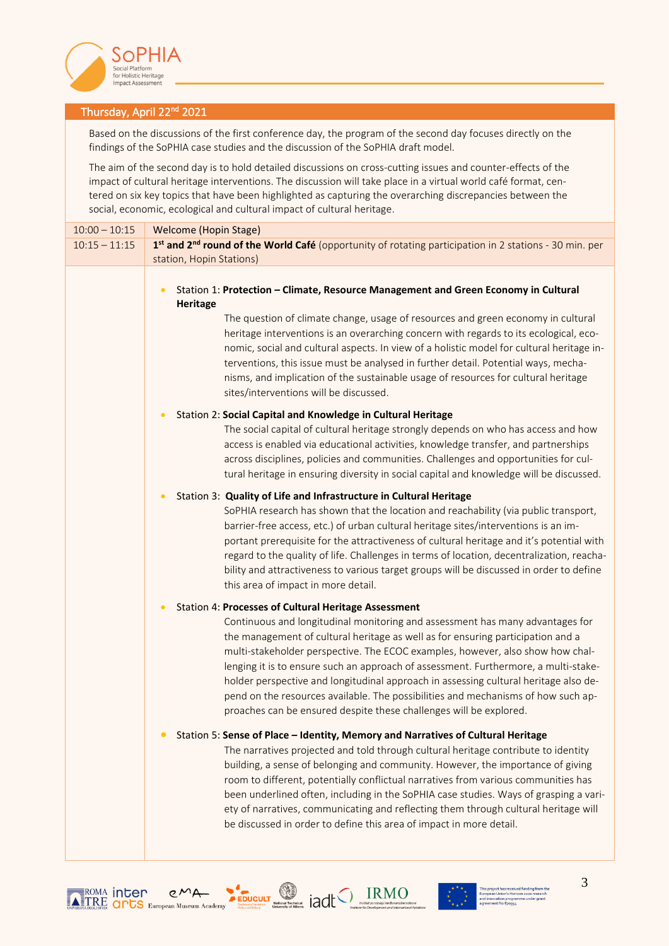

## Thursday, April 22<sup>nd</sup> 2021

Based on the discussions of the first conference day, the program of the second day focuses directly on the findings of the SoPHIA case studies and the discussion of the SoPHIA draft model.

The aim of the second day is to hold detailed discussions on cross-cutting issues and counter-effects of the impact of cultural heritage interventions. The discussion will take place in a virtual world café format, centered on six key topics that have been highlighted as capturing the overarching discrepancies between the social, economic, ecological and cultural impact of cultural heritage.

| $10:00 - 10:15$ | <b>Welcome (Hopin Stage)</b>                                                                                                                                                                                                                                                                                                                                                                                                                                                                                                                                                                                                                         |  |
|-----------------|------------------------------------------------------------------------------------------------------------------------------------------------------------------------------------------------------------------------------------------------------------------------------------------------------------------------------------------------------------------------------------------------------------------------------------------------------------------------------------------------------------------------------------------------------------------------------------------------------------------------------------------------------|--|
| $10:15 - 11:15$ | 1st and 2 <sup>nd</sup> round of the World Café (opportunity of rotating participation in 2 stations - 30 min. per                                                                                                                                                                                                                                                                                                                                                                                                                                                                                                                                   |  |
|                 | station, Hopin Stations)                                                                                                                                                                                                                                                                                                                                                                                                                                                                                                                                                                                                                             |  |
|                 | Station 1: Protection - Climate, Resource Management and Green Economy in Cultural<br>$\bullet$<br><b>Heritage</b><br>The question of climate change, usage of resources and green economy in cultural<br>heritage interventions is an overarching concern with regards to its ecological, eco-<br>nomic, social and cultural aspects. In view of a holistic model for cultural heritage in-<br>terventions, this issue must be analysed in further detail. Potential ways, mecha-<br>nisms, and implication of the sustainable usage of resources for cultural heritage<br>sites/interventions will be discussed.                                   |  |
|                 | Station 2: Social Capital and Knowledge in Cultural Heritage<br>The social capital of cultural heritage strongly depends on who has access and how<br>access is enabled via educational activities, knowledge transfer, and partnerships<br>across disciplines, policies and communities. Challenges and opportunities for cul-<br>tural heritage in ensuring diversity in social capital and knowledge will be discussed.                                                                                                                                                                                                                           |  |
|                 | Station 3: Quality of Life and Infrastructure in Cultural Heritage<br>SoPHIA research has shown that the location and reachability (via public transport,<br>barrier-free access, etc.) of urban cultural heritage sites/interventions is an im-<br>portant prerequisite for the attractiveness of cultural heritage and it's potential with<br>regard to the quality of life. Challenges in terms of location, decentralization, reacha-<br>bility and attractiveness to various target groups will be discussed in order to define<br>this area of impact in more detail.                                                                          |  |
|                 | Station 4: Processes of Cultural Heritage Assessment<br>Continuous and longitudinal monitoring and assessment has many advantages for<br>the management of cultural heritage as well as for ensuring participation and a<br>multi-stakeholder perspective. The ECOC examples, however, also show how chal-<br>lenging it is to ensure such an approach of assessment. Furthermore, a multi-stake-<br>holder perspective and longitudinal approach in assessing cultural heritage also de-<br>pend on the resources available. The possibilities and mechanisms of how such ap-<br>proaches can be ensured despite these challenges will be explored. |  |
|                 | Station 5: Sense of Place - Identity, Memory and Narratives of Cultural Heritage<br>The narratives projected and told through cultural heritage contribute to identity<br>building, a sense of belonging and community. However, the importance of giving<br>room to different, potentially conflictual narratives from various communities has<br>been underlined often, including in the SoPHIA case studies. Ways of grasping a vari-<br>ety of narratives, communicating and reflecting them through cultural heritage will<br>be discussed in order to define this area of impact in more detail.                                               |  |